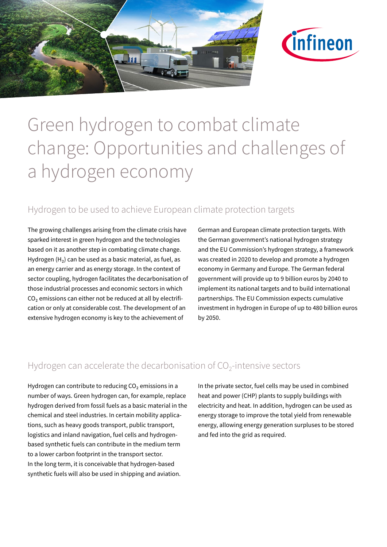



# Green hydrogen to combat climate change: Opportunities and challenges of a hydrogen economy

## Hydrogen to be used to achieve European climate protection targets

The growing challenges arising from the climate crisis have sparked interest in green hydrogen and the technologies based on it as another step in combating climate change. Hydrogen  $(H_2)$  can be used as a basic material, as fuel, as an energy carrier and as energy storage. In the context of sector coupling, hydrogen facilitates the decarbonisation of those industrial processes and economic sectors in which  $CO<sub>2</sub>$  emissions can either not be reduced at all by electrification or only at considerable cost. The development of an extensive hydrogen economy is key to the achievement of

German and European climate protection targets. With the German government's national hydrogen strategy and the EU Commission's hydrogen strategy, a framework was created in 2020 to develop and promote a hydrogen economy in Germany and Europe. The German federal government will provide up to 9 billion euros by 2040 to implement its national targets and to build international partnerships. The EU Commission expects cumulative investment in hydrogen in Europe of up to 480 billion euros by 2050.

### Hydrogen can accelerate the decarbonisation of  $CO<sub>2</sub>$ -intensive sectors

Hydrogen can contribute to reducing  $CO<sub>2</sub>$  emissions in a number of ways. Green hydrogen can, for example, replace hydrogen derived from fossil fuels as a basic material in the chemical and steel industries. In certain mobility applications, such as heavy goods transport, public transport, logistics and inland navigation, fuel cells and hydrogenbased synthetic fuels can contribute in the medium term to a lower carbon footprint in the transport sector. In the long term, it is conceivable that hydrogen-based synthetic fuels will also be used in shipping and aviation.

In the private sector, fuel cells may be used in combined heat and power (CHP) plants to supply buildings with electricity and heat. In addition, hydrogen can be used as energy storage to improve the total yield from renewable energy, allowing energy generation surpluses to be stored and fed into the grid as required.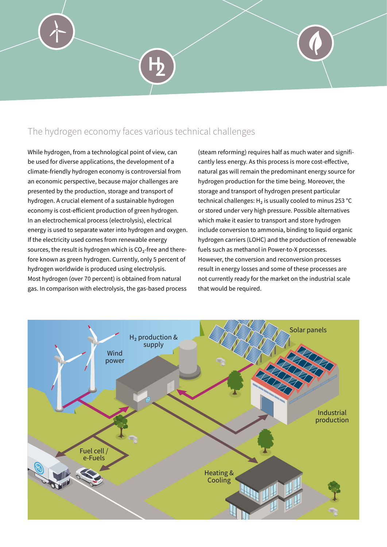## The hydrogen economy faces various technical challenges

While hydrogen, from a technological point of view, can be used for diverse applications, the development of a climate-friendly hydrogen economy is controversial from an economic perspective, because major challenges are presented by the production, storage and transport of hydrogen. A crucial element of a sustainable hydrogen economy is cost-efficient production of green hydrogen. In an electrochemical process (electrolysis), electrical energy is used to separate water into hydrogen and oxygen. If the electricity used comes from renewable energy sources, the result is hydrogen which is  $CO<sub>2</sub>$ -free and therefore known as green hydrogen. Currently, only 5 percent of hydrogen worldwide is produced using electrolysis. Most hydrogen (over 70 percent) is obtained from natural gas. In comparison with electrolysis, the gas-based process

(steam reforming) requires half as much water and significantly less energy. As this process is more cost-effective, natural gas will remain the predominant energy source for hydrogen production for the time being. Moreover, the storage and transport of hydrogen present particular technical challenges:  $H_2$  is usually cooled to minus 253 °C or stored under very high pressure. Possible alternatives which make it easier to transport and store hydrogen include conversion to ammonia, binding to liquid organic hydrogen carriers (LOHC) and the production of renewable fuels such as methanol in Power-to-X processes. However, the conversion and reconversion processes result in energy losses and some of these processes are not currently ready for the market on the industrial scale that would be required.